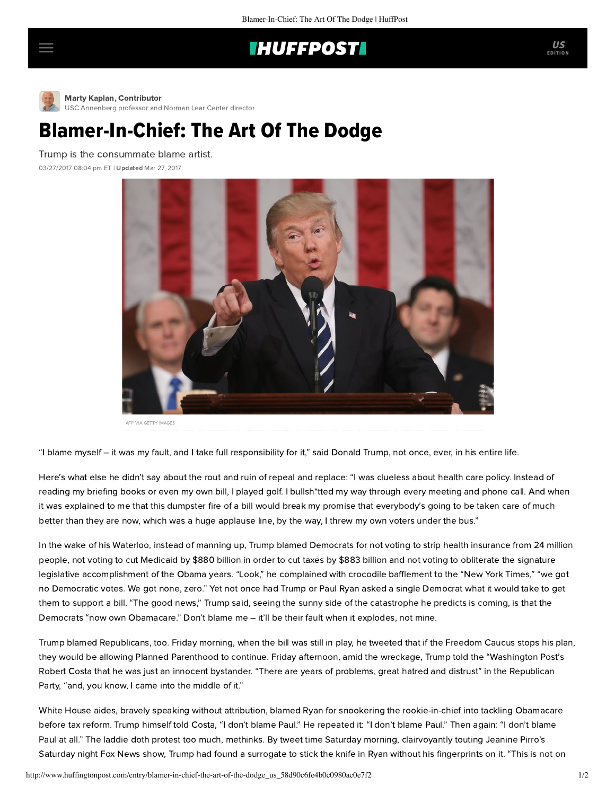## **IHUFFPOSTI**



[M](http://www.huffingtonpost.com/author/marty-kaplan)arty Kaplan, Contributor [USC Annenberg professor and Norman Lear Center director](http://www.huffingtonpost.com/author/marty-kaplan)

## Blamer-In-Chief: The Art Of The Dodge

Trump is the consummate blame artist.

03/27/2017 08:04 pm ET | Updated Mar 27, 2017



AFP VIA GETTY IMAGES

"I blame myself – it was my fault, and I take full responsibility for it," said Donald Trump, not once, ever, in his entire life.

Here's what else he didn't say about the rout and ruin of repeal and replace: "I was clueless about health care policy. Instead of reading my briefing books or even my own bill, I played golf. I bullsh\*tted my way through every meeting and phone call. And when it was explained to me that this [dumpster fire of a bill](http://www.politico.com/magazine/story/2017/03/paul-ryan-failed-because-his-bill-was-a-dumpster-fire-214952) would break my promise that everybody's going to be taken care of much better than they are now, which was a huge applause line, by the way, I threw my own voters under the bus."

In the wake of his Waterloo, instead of manning up, Trump blamed Democrats for not voting to strip health insurance from 24 million people, not voting to cut Medicaid by \$880 billion in order to cut taxes by \$883 billion and not voting to obliterate the signature legislative accomplishment of the Obama years. "Look," he complained with crocodile bafflement to the "New York Times," "we got no Democratic votes. We got none, zero." Yet not once had Trump or Paul Ryan asked a single Democrat what it would take to get them to support a bill. "The good news," Trump said, seeing the sunny side of the catastrophe he predicts is coming, is that the Democrats "now own Obamacare." Don't blame me – it'll be their fault when it explodes, not mine.

Trump blamed Republicans, too. Friday morning, when the bill was still in play, he tweeted that if the Freedom Caucus stops his plan, they would be allowing Planned Parenthood to continue. Friday afternoon, amid the wreckage, Trump told the "Washington Post's Robert Costa that he was just an innocent bystander. "There are years of problems, great hatred and distrust" in the Republican Party, "and, you know, I came into the middle of it."

White House aides, bravely speaking without attribution, blamed Ryan for snookering the rookie-in-chief into tackling Obamacare before tax reform. Trump himself told Costa, "I don't blame Paul." He repeated it: "I don't blame Paul." Then again: "I don't blame Paul at all." The laddie doth protest too much, methinks. By tweet time Saturday morning, clairvoyantly touting Jeanine Pirro's Saturday night Fox News show, Trump had found a surrogate to stick the knife in Ryan without his fingerprints on it. "This is not on